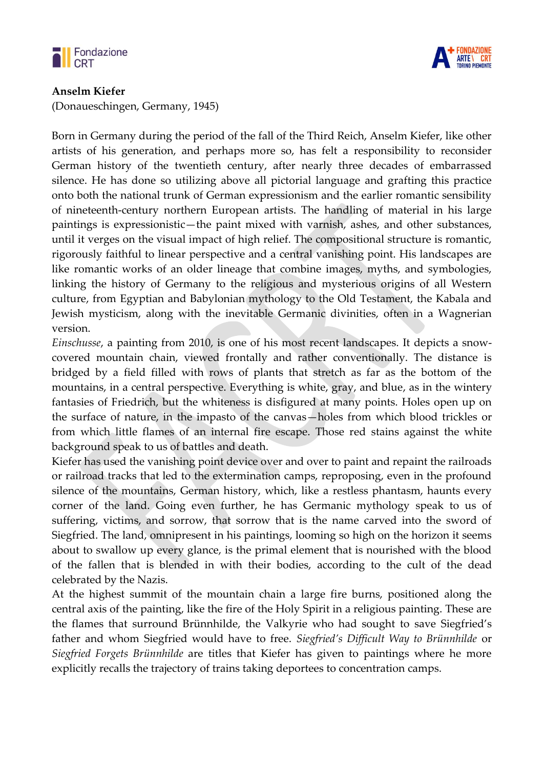

## **Anselm Kiefer**

(Donaueschingen, Germany, 1945)



Born in Germany during the period of the fall of the Third Reich, Anselm Kiefer, like other artists of his generation, and perhaps more so, has felt a responsibility to reconsider German history of the twentieth century, after nearly three decades of embarrassed silence. He has done so utilizing above all pictorial language and grafting this practice onto both the national trunk of German expressionism and the earlier romantic sensibility of nineteenth-century northern European artists. The handling of material in his large paintings is expressionistic—the paint mixed with varnish, ashes, and other substances, until it verges on the visual impact of high relief. The compositional structure is romantic, rigorously faithful to linear perspective and a central vanishing point. His landscapes are like romantic works of an older lineage that combine images, myths, and symbologies, linking the history of Germany to the religious and mysterious origins of all Western culture, from Egyptian and Babylonian mythology to the Old Testament, the Kabala and Jewish mysticism, along with the inevitable Germanic divinities, often in a Wagnerian version.

*Einschusse*, a painting from 2010, is one of his most recent landscapes. It depicts a snowcovered mountain chain, viewed frontally and rather conventionally. The distance is bridged by a field filled with rows of plants that stretch as far as the bottom of the mountains, in a central perspective. Everything is white, gray, and blue, as in the wintery fantasies of Friedrich, but the whiteness is disfigured at many points. Holes open up on the surface of nature, in the impasto of the canvas—holes from which blood trickles or from which little flames of an internal fire escape. Those red stains against the white background speak to us of battles and death.

Kiefer has used the vanishing point device over and over to paint and repaint the railroads or railroad tracks that led to the extermination camps, reproposing, even in the profound silence of the mountains, German history, which, like a restless phantasm, haunts every corner of the land. Going even further, he has Germanic mythology speak to us of suffering, victims, and sorrow, that sorrow that is the name carved into the sword of Siegfried. The land, omnipresent in his paintings, looming so high on the horizon it seems about to swallow up every glance, is the primal element that is nourished with the blood of the fallen that is blended in with their bodies, according to the cult of the dead celebrated by the Nazis.

At the highest summit of the mountain chain a large fire burns, positioned along the central axis of the painting, like the fire of the Holy Spirit in a religious painting. These are the flames that surround Brünnhilde, the Valkyrie who had sought to save Siegfried's father and whom Siegfried would have to free. *Siegfried's Difficult Way to Brünnhilde* or *Siegfried Forgets Brünnhilde* are titles that Kiefer has given to paintings where he more explicitly recalls the trajectory of trains taking deportees to concentration camps.